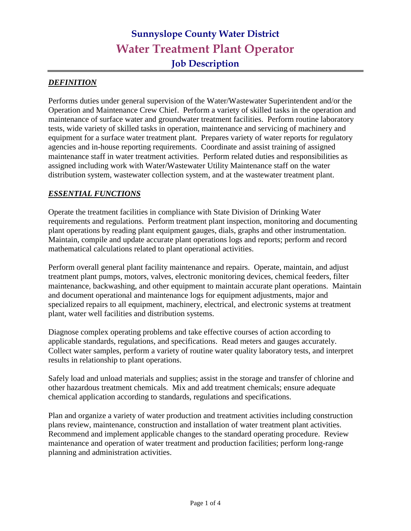#### *DEFINITION*

Performs duties under general supervision of the Water/Wastewater Superintendent and/or the Operation and Maintenance Crew Chief. Perform a variety of skilled tasks in the operation and maintenance of surface water and groundwater treatment facilities. Perform routine laboratory tests, wide variety of skilled tasks in operation, maintenance and servicing of machinery and equipment for a surface water treatment plant. Prepares variety of water reports for regulatory agencies and in-house reporting requirements. Coordinate and assist training of assigned maintenance staff in water treatment activities. Perform related duties and responsibilities as assigned including work with Water/Wastewater Utility Maintenance staff on the water distribution system, wastewater collection system, and at the wastewater treatment plant.

#### *ESSENTIAL FUNCTIONS*

Operate the treatment facilities in compliance with State Division of Drinking Water requirements and regulations. Perform treatment plant inspection, monitoring and documenting plant operations by reading plant equipment gauges, dials, graphs and other instrumentation. Maintain, compile and update accurate plant operations logs and reports; perform and record mathematical calculations related to plant operational activities.

Perform overall general plant facility maintenance and repairs. Operate, maintain, and adjust treatment plant pumps, motors, valves, electronic monitoring devices, chemical feeders, filter maintenance, backwashing, and other equipment to maintain accurate plant operations. Maintain and document operational and maintenance logs for equipment adjustments, major and specialized repairs to all equipment, machinery, electrical, and electronic systems at treatment plant, water well facilities and distribution systems.

Diagnose complex operating problems and take effective courses of action according to applicable standards, regulations, and specifications. Read meters and gauges accurately. Collect water samples, perform a variety of routine water quality laboratory tests, and interpret results in relationship to plant operations.

Safely load and unload materials and supplies; assist in the storage and transfer of chlorine and other hazardous treatment chemicals. Mix and add treatment chemicals; ensure adequate chemical application according to standards, regulations and specifications.

Plan and organize a variety of water production and treatment activities including construction plans review, maintenance, construction and installation of water treatment plant activities. Recommend and implement applicable changes to the standard operating procedure. Review maintenance and operation of water treatment and production facilities; perform long-range planning and administration activities.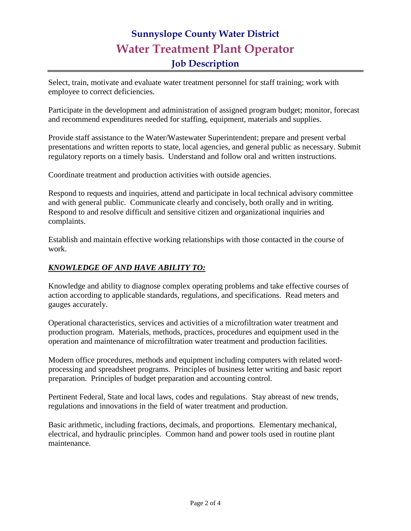Select, train, motivate and evaluate water treatment personnel for staff training; work with employee to correct deficiencies.

Participate in the development and administration of assigned program budget; monitor, forecast and recommend expenditures needed for staffing, equipment, materials and supplies.

Provide staff assistance to the Water/Wastewater Superintendent; prepare and present verbal presentations and written reports to state, local agencies, and general public as necessary. Submit regulatory reports on a timely basis. Understand and follow oral and written instructions.

Coordinate treatment and production activities with outside agencies.

Respond to requests and inquiries, attend and participate in local technical advisory committee and with general public. Communicate clearly and concisely, both orally and in writing. Respond to and resolve difficult and sensitive citizen and organizational inquiries and complaints.

Establish and maintain effective working relationships with those contacted in the course of work.

### *KNOWLEDGE OF AND HAVE ABILITY TO:*

Knowledge and ability to diagnose complex operating problems and take effective courses of action according to applicable standards, regulations, and specifications. Read meters and gauges accurately.

Operational characteristics, services and activities of a microfiltration water treatment and production program. Materials, methods, practices, procedures and equipment used in the operation and maintenance of microfiltration water treatment and production facilities.

Modern office procedures, methods and equipment including computers with related wordprocessing and spreadsheet programs. Principles of business letter writing and basic report preparation. Principles of budget preparation and accounting control.

Pertinent Federal, State and local laws, codes and regulations. Stay abreast of new trends, regulations and innovations in the field of water treatment and production.

Basic arithmetic, including fractions, decimals, and proportions. Elementary mechanical, electrical, and hydraulic principles. Common hand and power tools used in routine plant maintenance.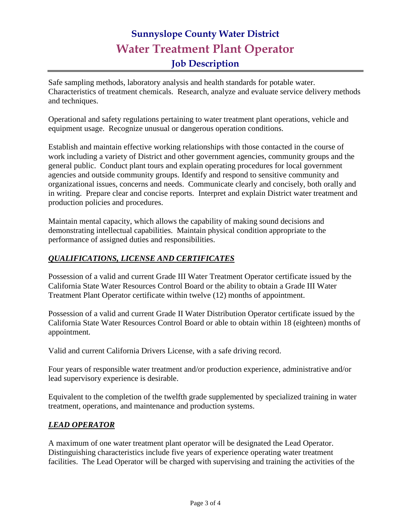Safe sampling methods, laboratory analysis and health standards for potable water. Characteristics of treatment chemicals. Research, analyze and evaluate service delivery methods and techniques.

Operational and safety regulations pertaining to water treatment plant operations, vehicle and equipment usage. Recognize unusual or dangerous operation conditions.

Establish and maintain effective working relationships with those contacted in the course of work including a variety of District and other government agencies, community groups and the general public. Conduct plant tours and explain operating procedures for local government agencies and outside community groups. Identify and respond to sensitive community and organizational issues, concerns and needs. Communicate clearly and concisely, both orally and in writing. Prepare clear and concise reports. Interpret and explain District water treatment and production policies and procedures.

Maintain mental capacity, which allows the capability of making sound decisions and demonstrating intellectual capabilities. Maintain physical condition appropriate to the performance of assigned duties and responsibilities.

### *QUALIFICATIONS, LICENSE AND CERTIFICATES*

Possession of a valid and current Grade III Water Treatment Operator certificate issued by the California State Water Resources Control Board or the ability to obtain a Grade III Water Treatment Plant Operator certificate within twelve (12) months of appointment.

Possession of a valid and current Grade II Water Distribution Operator certificate issued by the California State Water Resources Control Board or able to obtain within 18 (eighteen) months of appointment*.*

Valid and current California Drivers License, with a safe driving record.

Four years of responsible water treatment and/or production experience, administrative and/or lead supervisory experience is desirable.

Equivalent to the completion of the twelfth grade supplemented by specialized training in water treatment, operations, and maintenance and production systems.

#### *LEAD OPERATOR*

A maximum of one water treatment plant operator will be designated the Lead Operator. Distinguishing characteristics include five years of experience operating water treatment facilities. The Lead Operator will be charged with supervising and training the activities of the